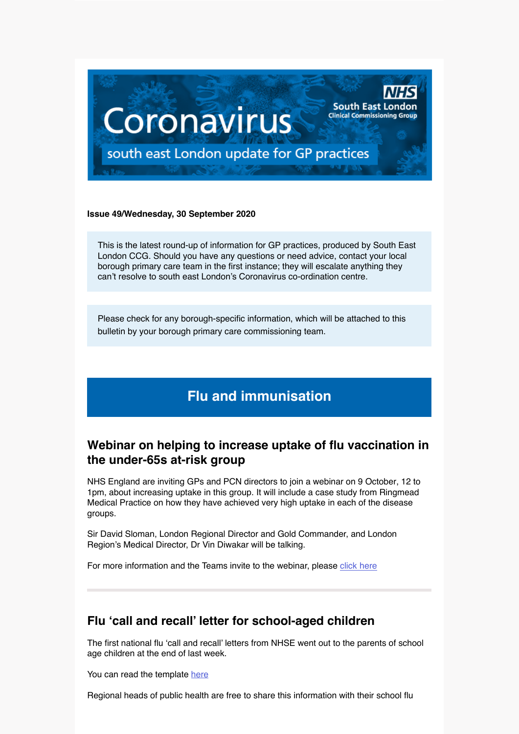

#### **Issue 49/Wednesday, 30 September 2020**

This is the latest round-up of information for GP practices, produced by South East London CCG. Should you have any questions or need advice, contact your local borough primary care team in the first instance; they will escalate anything they can't resolve to south east London's Coronavirus co-ordination centre.

Please check for any borough-specific information, which will be attached to this bulletin by your borough primary care commissioning team.

# **Flu and immunisation**

### **Webinar on helping to increase uptake of flu vaccination in the under-65s at-risk group**

NHS England are inviting GPs and PCN directors to join a webinar on 9 October, 12 to 1pm, about increasing uptake in this group. It will include a case study from Ringmead Medical Practice on how they have achieved very high uptake in each of the disease groups.

Sir David Sloman, London Regional Director and Gold Commander, and London Region's Medical Director, Dr Vin Diwakar will be talking.

For more information and the Teams invite to the webinar, please [click here](https://selondonccg.nhs.uk/wp-content/uploads/2020/09/Flu-At-Risk-Webinar-Agenda-9th-Oct-20.pdf)

### **Flu 'call and recall' letter for school-aged children**

The first national flu 'call and recall' letters from NHSE went out to the parents of school age children at the end of last week.

You can read the template [here](https://selondonccg.nhs.uk/wp-content/uploads/2020/09/School-age-children-first-letter-1.pdf)

Regional heads of public health are free to share this information with their school flu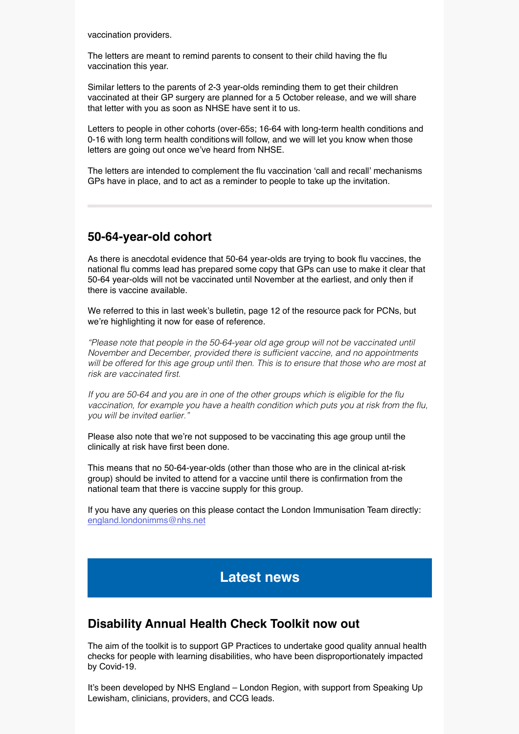vaccination providers.

The letters are meant to remind parents to consent to their child having the flu vaccination this year.

Similar letters to the parents of 2-3 year-olds reminding them to get their children vaccinated at their GP surgery are planned for a 5 October release, and we will share that letter with you as soon as NHSE have sent it to us.

Letters to people in other cohorts (over-65s; 16-64 with long-term health conditions and 0-16 with long term health conditions will follow, and we will let you know when those letters are going out once we've heard from NHSE.

The letters are intended to complement the flu vaccination 'call and recall' mechanisms GPs have in place, and to act as a reminder to people to take up the invitation.

### **50-64-year-old cohort**

As there is anecdotal evidence that 50-64 year-olds are trying to book flu vaccines, the national flu comms lead has prepared some copy that GPs can use to make it clear that 50-64 year-olds will not be vaccinated until November at the earliest, and only then if there is vaccine available.

We referred to this in last week's bulletin, page 12 of the resource pack for PCNs, but we're highlighting it now for ease of reference.

*"Please note that people in the 50-64-year old age group will not be vaccinated until*  November and December, provided there is sufficient vaccine, and no appointments will be offered for this age group until then. This is to ensure that those who are most at risk are vaccinated first.

If you are 50-64 and you are in one of the other groups which is eligible for the flu vaccination, for example you have a health condition which puts you at risk from the flu, *you will be invited earlier."*

Please also note that we're not supposed to be vaccinating this age group until the clinically at risk have first been done.

This means that no 50-64-year-olds (other than those who are in the clinical at-risk group) should be invited to attend for a vaccine until there is confirmation from the national team that there is vaccine supply for this group.

If you have any queries on this please contact the London Immunisation Team directly: [england.londonimms@nhs.net](mailto:england.londonimms%40nhs.net?subject=)

## **Latest news**

### **Disability Annual Health Check Toolkit now out**

The aim of the toolkit is to support GP Practices to undertake good quality annual health checks for people with learning disabilities, who have been disproportionately impacted by Covid-19.

It's been developed by NHS England – London Region, with support from Speaking Up Lewisham, clinicians, providers, and CCG leads.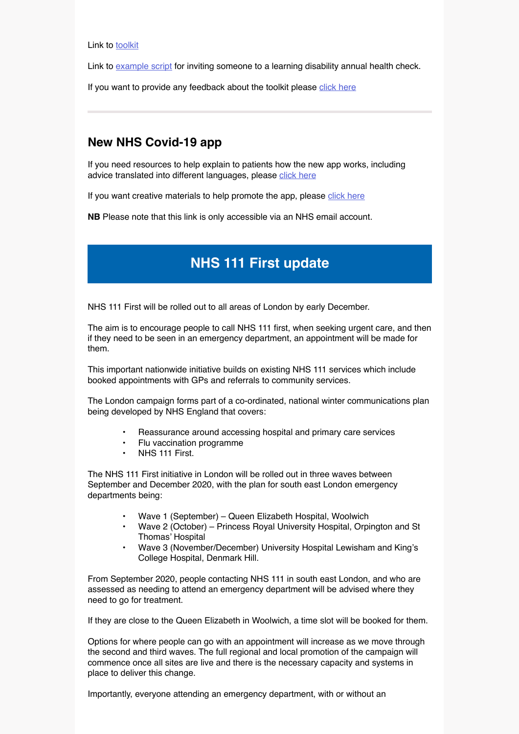Link to [toolkit](https://selondonccg.nhs.uk/wp-content/uploads/2020/09/Annual-Health-Check-Toolkit-V11-003.pdf)

Link to [example script](https://selondonccg.nhs.uk/wp-content/uploads/2020/09/Example-script-to-invite-someone-for-an-LD-AHC.pdf) for inviting someone to a learning disability annual health check.

If you want to provide any feedback about the toolkit please [click here](https://forms.office.com/Pages/ResponsePage.aspx?id=kp4VA8ZyI0umSq9Q55Ctv5XH_KAG2t1AmDSeFUywWZpUOEdSR0dKRzkySEgwTE0wTEw5WjBIOE9VMS4u)

### **New NHS Covid-19 app**

If you need resources to help explain to patients how the new app works, including advice translated into different languages, please [click here](https://www.covid19.nhs.uk/information-and-resources.html)

If you want creative materials to help promote the app, please [click here](https://coronavirusresources.phe.gov.uk/the-nhs-covid-19-app/)

**NB** Please note that this link is only accessible via an NHS email account.

# **NHS 111 First update**

NHS 111 First will be rolled out to all areas of London by early December.

The aim is to encourage people to call NHS 111 first, when seeking urgent care, and then if they need to be seen in an emergency department, an appointment will be made for them.

This important nationwide initiative builds on existing NHS 111 services which include booked appointments with GPs and referrals to community services.

The London campaign forms part of a co-ordinated, national winter communications plan being developed by NHS England that covers:

- Reassurance around accessing hospital and primary care services
- Flu vaccination programme
- NHS 111 First.

The NHS 111 First initiative in London will be rolled out in three waves between September and December 2020, with the plan for south east London emergency departments being:

- Wave 1 (September) Queen Elizabeth Hospital, Woolwich
- Wave 2 (October) Princess Royal University Hospital, Orpington and St Thomas' Hospital
- Wave 3 (November/December) University Hospital Lewisham and King's College Hospital, Denmark Hill.

From September 2020, people contacting NHS 111 in south east London, and who are assessed as needing to attend an emergency department will be advised where they need to go for treatment.

If they are close to the Queen Elizabeth in Woolwich, a time slot will be booked for them.

Options for where people can go with an appointment will increase as we move through the second and third waves. The full regional and local promotion of the campaign will commence once all sites are live and there is the necessary capacity and systems in place to deliver this change.

Importantly, everyone attending an emergency department, with or without an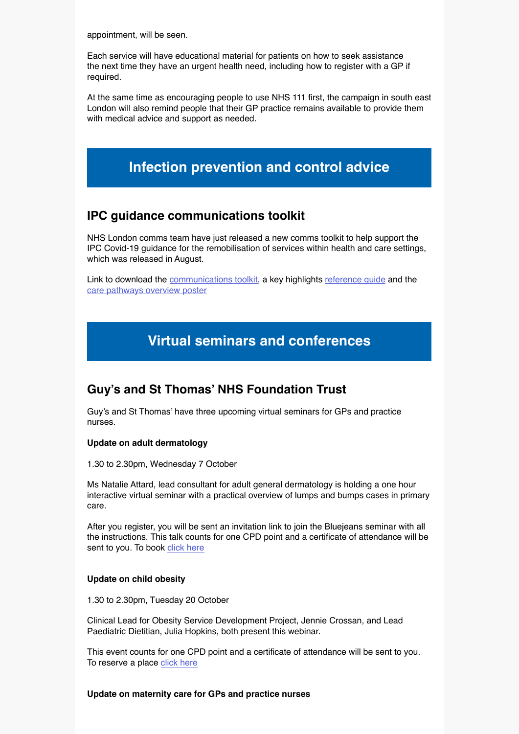appointment, will be seen.

Each service will have educational material for patients on how to seek assistance the next time they have an urgent health need, including how to register with a GP if required.

At the same time as encouraging people to use NHS 111 first, the campaign in south east London will also remind people that their GP practice remains available to provide them with medical advice and support as needed.

# **Infection prevention and control advice**

### **IPC guidance communications toolkit**

NHS London comms team have just released a new comms toolkit to help support the IPC Covid-19 guidance for the remobilisation of services within health and care settings, which was released in August.

Link to download the [communications toolkit,](https://londoncommunications.cmail20.com/t/d-l-cjiydhl-trhrkhetl-q/) a key highlights [reference guide](https://londoncommunications.cmail20.com/t/d-l-cjiydhl-trhrkhetl-a/) and the [care pathways overview poster](https://londoncommunications.cmail20.com/t/d-l-cjiydhl-trhrkhetl-f/)

# **Virtual seminars and conferences**

## **Guy's and St Thomas' NHS Foundation Trust**

Guy's and St Thomas' have three upcoming virtual seminars for GPs and practice nurses.

#### **Update on adult dermatology**

1.30 to 2.30pm, Wednesday 7 October

Ms Natalie Attard, lead consultant for adult general dermatology is holding a one hour interactive virtual seminar with a practical overview of lumps and bumps cases in primary care.

After you register, you will be sent an invitation link to join the Bluejeans seminar with all the instructions. This talk counts for one CPD point and a certificate of attendance will be sent to you. To book [click here](https://www.eventbrite.co.uk/e/dermatology-for-primary-care-tickets-120989301257)

#### **Update on child obesity**

1.30 to 2.30pm, Tuesday 20 October

Clinical Lead for Obesity Service Development Project, Jennie Crossan, and Lead Paediatric Dietitian, Julia Hopkins, both present this webinar.

This event counts for one CPD point and a certificate of attendance will be sent to you. To reserve a place [click here](https://www.eventbrite.co.uk/e/child-obesity-for-primary-care-tickets-119482386033?utm-medium=discovery&utm-campaign=social&utm-content=attendeeshare&aff=estw&utm-source=tw&utm-term=listing)

#### **Update on maternity care for GPs and practice nurses**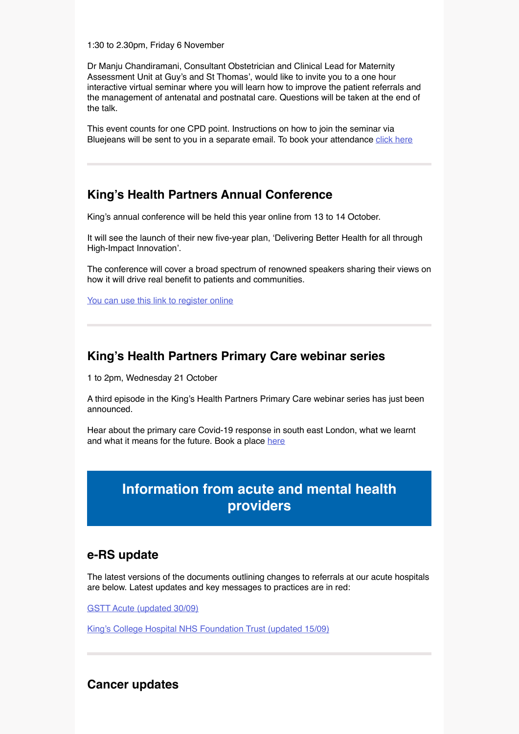1:30 to 2.30pm, Friday 6 November

Dr Manju Chandiramani, Consultant Obstetrician and Clinical Lead for Maternity Assessment Unit at Guy's and St Thomas', would like to invite you to a one hour interactive virtual seminar where you will learn how to improve the patient referrals and the management of antenatal and postnatal care. Questions will be taken at the end of the talk.

This event counts for one CPD point. Instructions on how to join the seminar via Bluejeans will be sent to you in a separate email. To book your attendance [click here](https://www.eventbrite.com/e/maternity-update-for-primary-care-tickets-122377868499)

### **King's Health Partners Annual Conference**

King's annual conference will be held this year online from 13 to 14 October.

It will see the launch of their new five-year plan, 'Delivering Better Health for all through High-Impact Innovation'.

The conference will cover a broad spectrum of renowned speakers sharing their views on how it will drive real benefit to patients and communities.

[You can use this link to register online](https://www.kingshealthpartners.org/latest/events/2995-kings-health-partners-annual-conference-2020)

### **King's Health Partners Primary Care webinar series**

1 to 2pm, Wednesday 21 October

A third episode in the King's Health Partners Primary Care webinar series has just been announced.

Hear about the primary care Covid-19 response in south east London, what we learnt and what it means for the future. Book a place [here](https://eur03.safelinks.protection.outlook.com/?url=https%3A%2F%2Fwww.eventbrite.co.uk%2Fe%2Fkings-health-partners-primary-care-webinar-series-2020-tickets-122373840451&data=01%7C01%7Csimone.davies%40kcl.ac.uk%7C1eebd49c05e548a783bc08d863aa1b6f%7C8370cf1416f34c16b83c724071654356%7C0&sdata=ud3tqBuhYeSsbE0%2BqRDmAIXsVJUmFO0ZXtgClTN%2Bz6s%3D&reserved=0)

# **Information from acute and mental health providers**

### **e-RS update**

The latest versions of the documents outlining changes to referrals at our acute hospitals are below. Latest updates and key messages to practices are in red:

[GSTT Acute \(updated 30/09\)](https://selondonccg.nhs.uk/wp-content/uploads/2020/09/GSTT-GP-Comms-2020-09-30.pdf)

[King's College Hospital NHS Foundation Trust \(updated 15/09\)](https://selondonccg.nhs.uk/wp-content/uploads/2020/09/KCH-GP-Comms-15-Sep-2020.pdf)

### **Cancer updates**